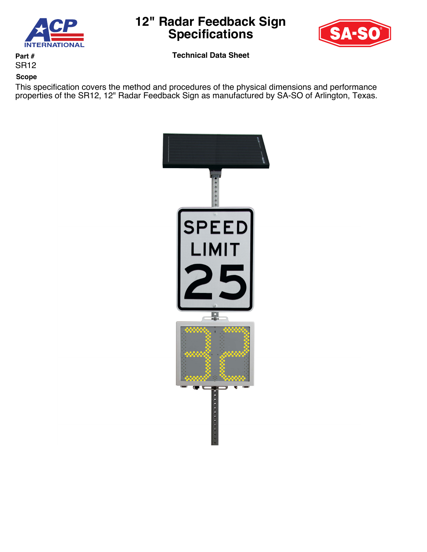

# **12" Radar Feedback Sign Specifications**



**Technical Data Sheet**

**Part #** SR12

## **Scope**

This specification covers the method and procedures of the physical dimensions and performance properties of the SR12, 12" Radar Feedback Sign as manufactured by SA-SO of Arlington, Texas.

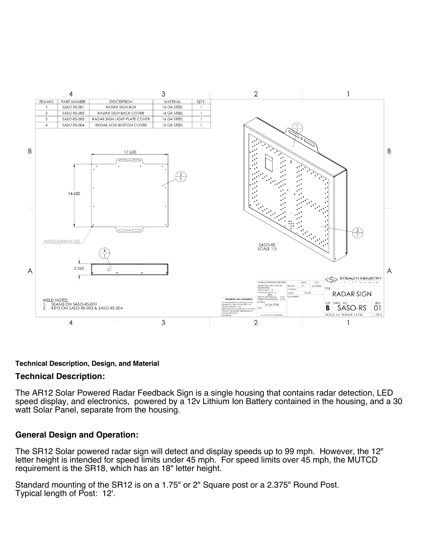

#### **Technical Description, Design, and Material**

#### **Technical Description:**

The AR12 Solar Powered Radar Feedback Sign is a single housing that contains radar detection, LED speed display, and electronics, powered by a 12v Lithium Ion Battery contained in the housing, and a 30 watt Solar Panel, separate from the housing.

## **General Design and Operation:**

The SR12 Solar powered radar sign will detect and display speeds up to 99 mph. However, the 12" letter height is intended for speed limits under 45 mph. For speed limits over 45 mph, the MUTCD requirement is the SR18, which has an 18" letter height.

Standard mounting of the SR12 is on a 1.75" or 2" Square post or a 2.375" Round Post. Typical length of Post: 12'.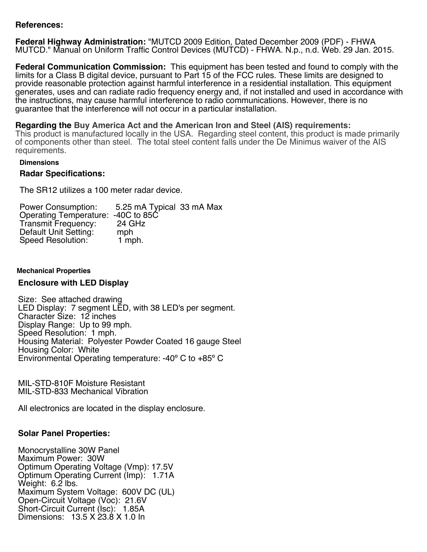## **References:**

**Federal Highway Administration:** "MUTCD 2009 Edition, Dated December 2009 (PDF) - FHWA MUTCD." Manual on Uniform Traffic Control Devices (MUTCD) - FHWA. N.p., n.d. Web. 29 Jan. 2015.

**Federal Communication Commission:** This equipment has been tested and found to comply with the limits for a Class B digital device, pursuant to Part 15 of the FCC rules. These limits are designed to provide reasonable protection against harmful interference in a residential installation. This equipment generates, uses and can radiate radio frequency energy and, if not installed and used in accordance with the instructions, may cause harmful interference to radio communications. However, there is no guarantee that the interference will not occur in a particular installation.

## **Regarding the Buy America Act and the American Iron and Steel (AIS) requirements:**

This product is manufactured locally in the USA. Regarding steel content, this product is made primarily of components other than steel. The total steel content falls under the De Minimus waiver of the AIS requirements.

#### **Dimensions**

## **Radar Specifications:**

The SR12 utilizes a 100 meter radar device.

Power Consumption: 5.25 mA Typical 33 mA Max Operating Temperature: -40C to 85C<br>Transmit Frequency: 24 GHz Transmit Frequency: Default Unit Setting: mph Speed Resolution: 1 mph.

#### **Mechanical Properties**

## **Enclosure with LED Display**

Size: See attached drawing LED Display: 7 segment LED, with 38 LED's per segment. Character Size: 12 inches Display Range: Up to 99 mph. Speed Resolution: 1 mph. Housing Material: Polyester Powder Coated 16 gauge Steel Housing Color: White Environmental Operating temperature: -40º C to +85º C

MIL-STD-810F Moisture Resistant MIL-STD-833 Mechanical Vibration

All electronics are located in the display enclosure.

## **Solar Panel Properties:**

Monocrystalline 30W Panel Maximum Power: 30W Optimum Operating Voltage (Vmp): 17.5V Optimum Operating Current (Imp): 1.71A Weight: 6.2 lbs. Maximum System Voltage: 600V DC (UL) Open-Circuit Voltage (Voc): 21.6V Short-Circuit Current (Isc): 1.85A Dimensions: 13.5 X 23.8 X 1.0 In